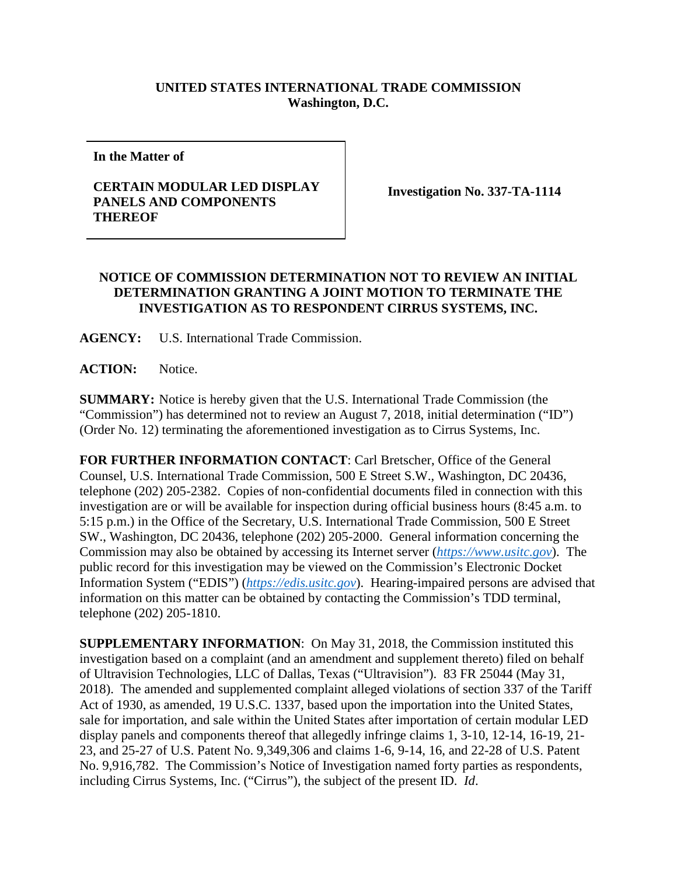## **UNITED STATES INTERNATIONAL TRADE COMMISSION Washington, D.C.**

**In the Matter of**

## **CERTAIN MODULAR LED DISPLAY PANELS AND COMPONENTS THEREOF**

**Investigation No. 337-TA-1114**

## **NOTICE OF COMMISSION DETERMINATION NOT TO REVIEW AN INITIAL DETERMINATION GRANTING A JOINT MOTION TO TERMINATE THE INVESTIGATION AS TO RESPONDENT CIRRUS SYSTEMS, INC.**

**AGENCY:** U.S. International Trade Commission.

**ACTION:** Notice.

**SUMMARY:** Notice is hereby given that the U.S. International Trade Commission (the "Commission") has determined not to review an August 7, 2018, initial determination ("ID") (Order No. 12) terminating the aforementioned investigation as to Cirrus Systems, Inc.

**FOR FURTHER INFORMATION CONTACT**: Carl Bretscher, Office of the General Counsel, U.S. International Trade Commission, 500 E Street S.W., Washington, DC 20436, telephone (202) 205-2382. Copies of non-confidential documents filed in connection with this investigation are or will be available for inspection during official business hours (8:45 a.m. to 5:15 p.m.) in the Office of the Secretary, U.S. International Trade Commission, 500 E Street SW., Washington, DC 20436, telephone (202) 205-2000. General information concerning the Commission may also be obtained by accessing its Internet server (*[https://www.usitc.gov](https://www.usitc.gov/)*). The public record for this investigation may be viewed on the Commission's Electronic Docket Information System ("EDIS") (*[https://edis.usitc.gov](https://edis.usitc.gov/)*). Hearing-impaired persons are advised that information on this matter can be obtained by contacting the Commission's TDD terminal, telephone (202) 205-1810.

**SUPPLEMENTARY INFORMATION**: On May 31, 2018, the Commission instituted this investigation based on a complaint (and an amendment and supplement thereto) filed on behalf of Ultravision Technologies, LLC of Dallas, Texas ("Ultravision"). 83 FR 25044 (May 31, 2018). The amended and supplemented complaint alleged violations of section 337 of the Tariff Act of 1930, as amended, 19 U.S.C. 1337, based upon the importation into the United States, sale for importation, and sale within the United States after importation of certain modular LED display panels and components thereof that allegedly infringe claims 1, 3-10, 12-14, 16-19, 21- 23, and 25-27 of U.S. Patent No. 9,349,306 and claims 1-6, 9-14, 16, and 22-28 of U.S. Patent No. 9,916,782. The Commission's Notice of Investigation named forty parties as respondents, including Cirrus Systems, Inc. ("Cirrus"), the subject of the present ID. *Id*.